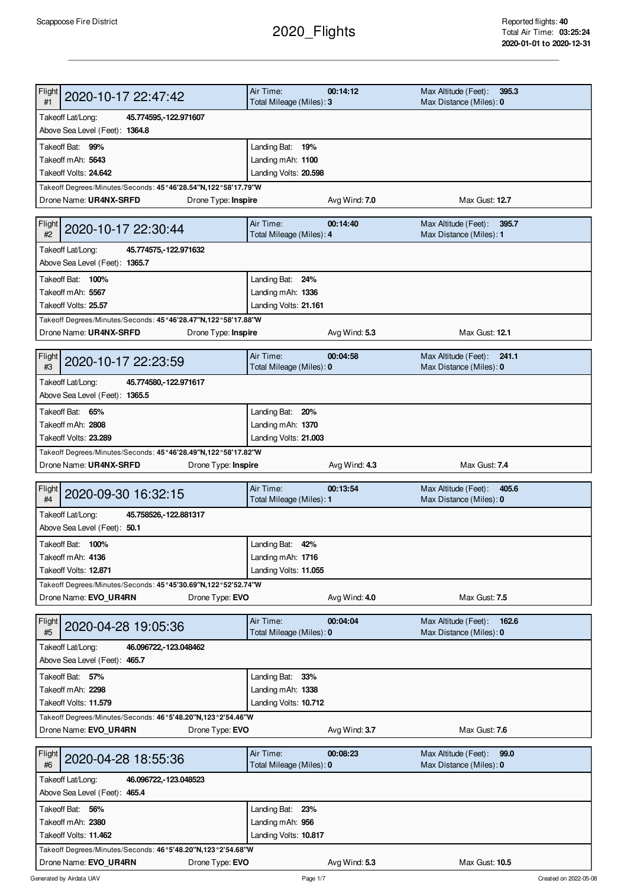## 2020\_Flights

| Flight<br>2020-10-17 22:47:42<br>#1                                          | Air Time:<br>Total Mileage (Miles): 3 | 00:14:12      | Max Altitude (Feet):<br>395.3<br>Max Distance (Miles): 0 |  |
|------------------------------------------------------------------------------|---------------------------------------|---------------|----------------------------------------------------------|--|
| Takeoff Lat/Long:<br>45.774595, 122.971607                                   |                                       |               |                                                          |  |
| Above Sea Level (Feet): 1364.8                                               |                                       |               |                                                          |  |
| Takeoff Bat: 99%                                                             | Landing Bat: 19%                      |               |                                                          |  |
| Takeoff mAh: 5643                                                            | Landing mAh: 1100                     |               |                                                          |  |
| Takeoff Volts: 24.642                                                        | Landing Volts: 20.598                 |               |                                                          |  |
| Takeoff Degrees/Minutes/Seconds: 45°46'28.54"N,122°58'17.79"W                |                                       |               |                                                          |  |
| Drone Name: UR4NX-SRFD<br>Drone Type: Inspire                                |                                       | Avg Wind: 7.0 | Max Gust: 12.7                                           |  |
| Flight<br>2020-10-17 22:30:44<br>#2                                          | Air Time:<br>Total Mileage (Miles): 4 | 00:14:40      | Max Altitude (Feet):<br>395.7<br>Max Distance (Miles): 1 |  |
| Takeoff Lat/Long:<br>45.774575, 122.971632<br>Above Sea Level (Feet): 1365.7 |                                       |               |                                                          |  |
| Takeoff Bat: 100%                                                            | Landing Bat: 24%                      |               |                                                          |  |
| Takeoff mAh: 5567                                                            | Landing mAh: 1336                     |               |                                                          |  |
| Takeoff Volts: 25.57                                                         | Landing Volts: 21.161                 |               |                                                          |  |
| Takeoff Degrees/Minutes/Seconds: 45°46'28.47"N,122°58'17.88"W                |                                       |               |                                                          |  |
| Drone Name: UR4NX-SRFD<br>Drone Type: Inspire                                |                                       | Avg Wind: 5.3 | Max Gust: 12.1                                           |  |
|                                                                              |                                       |               |                                                          |  |
| Flight<br>2020-10-17 22:23:59<br>#3                                          | Air Time:<br>Total Mileage (Miles): 0 | 00:04:58      | Max Altitude (Feet):<br>241.1<br>Max Distance (Miles): 0 |  |
| Takeoff Lat/Long:<br>45.774580, 122.971617                                   |                                       |               |                                                          |  |
| Above Sea Level (Feet): 1365.5                                               |                                       |               |                                                          |  |
| Takeoff Bat: 65%                                                             | Landing Bat: 20%                      |               |                                                          |  |
| Takeoff mAh: 2808                                                            | Landing mAh: 1370                     |               |                                                          |  |
| Takeoff Volts: 23.289                                                        | Landing Volts: 21.003                 |               |                                                          |  |
| Takeoff Degrees/Minutes/Seconds: 45°46'28.49"N,122°58'17.82"W                |                                       |               |                                                          |  |
| Drone Name: UR4NX-SRFD<br>Drone Type: Inspire                                |                                       | Avg Wind: 4.3 | Max Gust: 7.4                                            |  |
|                                                                              | Air Time:                             | 00:13:54      | Max Altitude (Feet):<br>405.6                            |  |
| Flight<br>2020-09-30 16:32:15<br>#4                                          | Total Mileage (Miles): 1              |               | Max Distance (Miles): 0                                  |  |
|                                                                              |                                       |               |                                                          |  |
| Takeoff Lat/Long:<br>45.758526, 122.881317                                   |                                       |               |                                                          |  |
| Above Sea Level (Feet): 50.1                                                 |                                       |               |                                                          |  |
| Takeoff Bat: 100%                                                            | Landing Bat: 42%                      |               |                                                          |  |
| Takeoff mAh: 4136                                                            | Landing mAh: 1716                     |               |                                                          |  |
| Takeoff Volts: 12.871                                                        | Landing Volts: 11.055                 |               |                                                          |  |
| Takeoff Degrees/Minutes/Seconds: 45°45'30.69"N,122°52'52.74"W                |                                       |               |                                                          |  |
| Drone Name: EVO_UR4RN<br>Drone Type: EVO                                     |                                       | Avg Wind: 4.0 | Max Gust: 7.5                                            |  |
|                                                                              |                                       |               |                                                          |  |
| Flight<br>2020-04-28 19:05:36<br>#5                                          | Air Time:<br>Total Mileage (Miles): 0 | 00:04:04      | Max Altitude (Feet):<br>162.6<br>Max Distance (Miles): 0 |  |
| Takeoff Lat/Long:<br>46.096722, -123.048462                                  |                                       |               |                                                          |  |
| Above Sea Level (Feet): 465.7                                                |                                       |               |                                                          |  |
| Takeoff Bat: 57%                                                             | Landing Bat: 33%                      |               |                                                          |  |
| Takeoff mAh: 2298                                                            | Landing mAh: 1338                     |               |                                                          |  |
| Takeoff Volts: 11.579                                                        | Landing Volts: 10.712                 |               |                                                          |  |
| Takeoff Degrees/Minutes/Seconds: 46°5'48.20"N,123°2'54.46"W                  |                                       |               |                                                          |  |
| Drone Name: EVO UR4RN<br>Drone Type: EVO                                     |                                       | Avg Wind: 3.7 | Max Gust: 7.6                                            |  |
|                                                                              |                                       |               |                                                          |  |
| Flight<br>2020-04-28 18:55:36<br>#6                                          | Air Time:<br>Total Mileage (Miles): 0 | 00:08:23      | Max Altitude (Feet):<br>99.0<br>Max Distance (Miles): 0  |  |
| Takeoff Lat/Long:<br>46.096722, 123.048523                                   |                                       |               |                                                          |  |
| Above Sea Level (Feet): 465.4                                                |                                       |               |                                                          |  |
| Takeoff Bat: 56%                                                             | Landing Bat: 23%                      |               |                                                          |  |
| Takeoff mAh: 2380                                                            | Landing mAh: 956                      |               |                                                          |  |
| Takeoff Volts: 11.462                                                        | Landing Volts: 10.817                 |               |                                                          |  |
| Takeoff Degrees/Minutes/Seconds: 46°5'48.20"N,123°2'54.68"W                  |                                       |               |                                                          |  |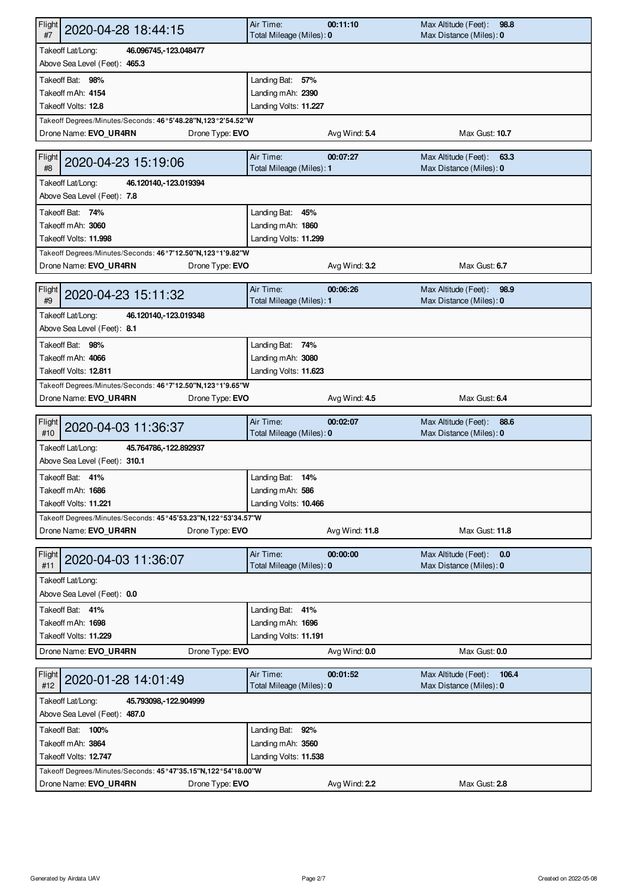| Flight<br>2020-04-28 18:44:15<br>#7                                         | Air Time:<br>Total Mileage (Miles): 0 | 00:11:10       | Max Altitude (Feet):<br>98.8<br>Max Distance (Miles): 0  |  |  |
|-----------------------------------------------------------------------------|---------------------------------------|----------------|----------------------------------------------------------|--|--|
| Takeoff Lat/Long:<br>46.096745, 123.048477                                  |                                       |                |                                                          |  |  |
| Above Sea Level (Feet): 465.3                                               |                                       |                |                                                          |  |  |
| Takeoff Bat: 98%                                                            | Landing Bat: 57%                      |                |                                                          |  |  |
| Takeoff mAh: 4154                                                           | Landing mAh: 2390                     |                |                                                          |  |  |
| Takeoff Volts: 12.8                                                         | Landing Volts: 11.227                 |                |                                                          |  |  |
| Takeoff Degrees/Minutes/Seconds: 46°5'48.28"N,123°2'54.52"W                 |                                       |                |                                                          |  |  |
| Drone Name: EVO_UR4RN<br>Drone Type: EVO                                    |                                       | Avg Wind: 5.4  | Max Gust: 10.7                                           |  |  |
| <b>Flight</b><br>2020-04-23 15:19:06<br>#8                                  | Air Time:<br>Total Mileage (Miles): 1 | 00:07:27       | Max Altitude (Feet):<br>63.3<br>Max Distance (Miles): 0  |  |  |
| Takeoff Lat/Long:<br>46.120140, 123.019394<br>Above Sea Level (Feet): 7.8   |                                       |                |                                                          |  |  |
| Takeoff Bat: 74%                                                            | Landing Bat: 45%                      |                |                                                          |  |  |
| Takeoff mAh: 3060                                                           | Landing mAh: 1860                     |                |                                                          |  |  |
| Takeoff Volts: 11.998                                                       | Landing Volts: 11.299                 |                |                                                          |  |  |
| Takeoff Degrees/Minutes/Seconds: 46°7'12.50"N,123°1'9.82"W                  |                                       |                |                                                          |  |  |
| Drone Type: EVO<br>Drone Name: EVO_UR4RN                                    |                                       | Avg Wind: 3.2  | Max Gust: 6.7                                            |  |  |
| Flight                                                                      | Air Time:                             | 00:06:26       | Max Altitude (Feet):<br>98.9                             |  |  |
| 2020-04-23 15:11:32<br>#9                                                   | Total Mileage (Miles): 1              |                | Max Distance (Miles): 0                                  |  |  |
| Takeoff Lat/Long:<br>46.120140, 123.019348<br>Above Sea Level (Feet): 8.1   |                                       |                |                                                          |  |  |
| Takeoff Bat: 98%                                                            | Landing Bat: 74%                      |                |                                                          |  |  |
| Takeoff mAh: 4066                                                           | Landing mAh: 3080                     |                |                                                          |  |  |
| Takeoff Volts: 12.811                                                       | Landing Volts: 11.623                 |                |                                                          |  |  |
| Takeoff Degrees/Minutes/Seconds: 46°7'12.50"N,123°1'9.65"W                  |                                       |                |                                                          |  |  |
| Drone Name: EVO_UR4RN<br>Drone Type: EVO                                    |                                       | Avg Wind: 4.5  | Max Gust: 6.4                                            |  |  |
| Flight                                                                      | Air Time:                             | 00:02:07       | Max Altitude (Feet):<br>88.6                             |  |  |
| 2020-04-03 11:36:37<br>#10                                                  | Total Mileage (Miles): 0              |                | Max Distance (Miles): 0                                  |  |  |
| Takeoff Lat/Long:<br>45.764786, 122.892937                                  |                                       |                |                                                          |  |  |
| Above Sea Level (Feet): 310.1                                               |                                       |                |                                                          |  |  |
| Takeoff Bat: 41%                                                            | Landing Bat: 14%                      |                |                                                          |  |  |
| Takeoff mAh: 1686                                                           | Landing mAh: 586                      |                |                                                          |  |  |
| Takeoff Volts: 11.221                                                       | Landing Volts: 10.466                 |                |                                                          |  |  |
| Takeoff Degrees/Minutes/Seconds: 45°45'53.23"N,122°53'34.57"W               |                                       |                |                                                          |  |  |
| Drone Name: EVO_UR4RN<br>Drone Type: EVO                                    |                                       | Avg Wind: 11.8 | Max Gust: 11.8                                           |  |  |
| Flight<br>2020-04-03 11:36:07<br>#11                                        | Air Time:<br>Total Mileage (Miles): 0 | 00:00:00       | Max Altitude (Feet):<br>0.0<br>Max Distance (Miles): 0   |  |  |
| Takeoff Lat/Long:                                                           |                                       |                |                                                          |  |  |
| Above Sea Level (Feet): 0.0                                                 |                                       |                |                                                          |  |  |
| Takeoff Bat: 41%                                                            | Landing Bat: 41%                      |                |                                                          |  |  |
| Takeoff mAh: 1698                                                           | Landing mAh: 1696                     |                |                                                          |  |  |
| Takeoff Volts: 11.229                                                       | Landing Volts: 11.191                 |                |                                                          |  |  |
| Drone Type: EVO<br>Drone Name: EVO UR4RN                                    |                                       | Avg Wind: 0.0  | Max Gust: 0.0                                            |  |  |
| Flight<br>2020-01-28 14:01:49<br>#12                                        | Air Time:<br>Total Mileage (Miles): 0 | 00:01:52       | Max Altitude (Feet):<br>106.4<br>Max Distance (Miles): 0 |  |  |
| Takeoff Lat/Long:<br>45.793098, 122.904999<br>Above Sea Level (Feet): 487.0 |                                       |                |                                                          |  |  |
| Takeoff Bat: 100%                                                           | Landing Bat: 92%                      |                |                                                          |  |  |
| Takeoff mAh: 3864                                                           | Landing mAh: 3560                     |                |                                                          |  |  |
| Takeoff Volts: 12.747                                                       | Landing Volts: 11.538                 |                |                                                          |  |  |
| Takeoff Degrees/Minutes/Seconds: 45°47'35.15"N,122°54'18.00"W               |                                       |                |                                                          |  |  |
| Drone Name: EVO_UR4RN<br>Drone Type: EVO                                    |                                       | Avg Wind: 2.2  | Max Gust: 2.8                                            |  |  |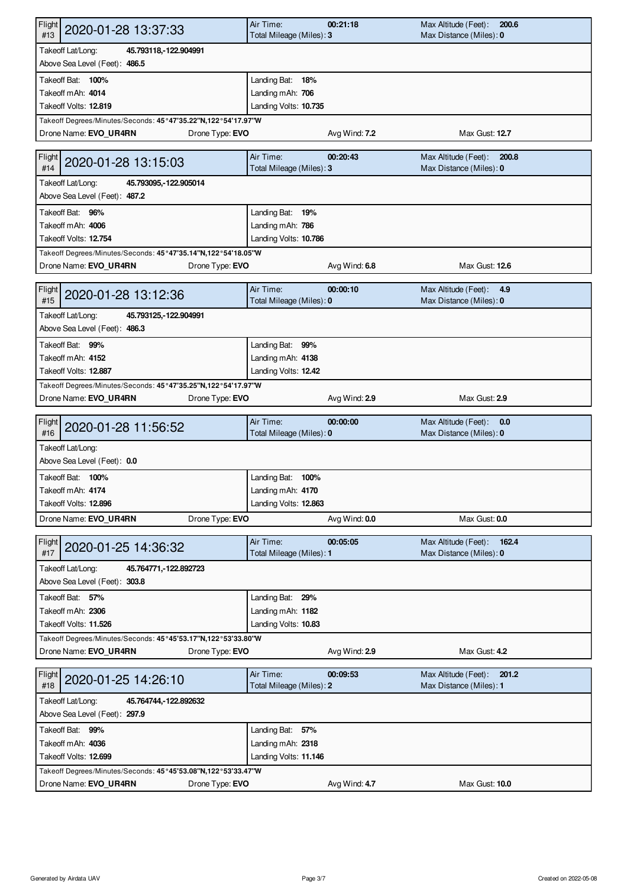| Flight<br>2020-01-28 13:37:33<br>#13                                                                      | Air Time:<br>Total Mileage (Miles): 3      | 00:21:18      | Max Altitude (Feet):<br>200.6<br>Max Distance (Miles): 0 |  |  |
|-----------------------------------------------------------------------------------------------------------|--------------------------------------------|---------------|----------------------------------------------------------|--|--|
| Takeoff Lat/Long:<br>45.793118, 122.904991<br>Above Sea Level (Feet): 486.5                               |                                            |               |                                                          |  |  |
| Takeoff Bat: 100%                                                                                         | Landing Bat: 18%                           |               |                                                          |  |  |
| Takeoff mAh: 4014                                                                                         | Landing mAh: 706                           |               |                                                          |  |  |
| Takeoff Volts: 12.819                                                                                     | Landing Volts: 10.735                      |               |                                                          |  |  |
| Takeoff Degrees/Minutes/Seconds: 45°47'35.22"N,122°54'17.97"W                                             |                                            |               |                                                          |  |  |
| Drone Name: EVO_UR4RN<br>Drone Type: EVO                                                                  |                                            | Avg Wind: 7.2 | Max Gust: 12.7                                           |  |  |
| Flight<br>2020-01-28 13:15:03<br>#14                                                                      | Air Time:<br>Total Mileage (Miles): 3      | 00:20:43      | Max Altitude (Feet):<br>200.8<br>Max Distance (Miles): 0 |  |  |
| Takeoff Lat/Long:<br>45.793095, 122.905014<br>Above Sea Level (Feet): 487.2                               |                                            |               |                                                          |  |  |
| Takeoff Bat: 96%                                                                                          | Landing Bat: 19%                           |               |                                                          |  |  |
| Takeoff mAh: 4006                                                                                         | Landing mAh: 786                           |               |                                                          |  |  |
| Takeoff Volts: 12.754                                                                                     | Landing Volts: 10.786                      |               |                                                          |  |  |
| Takeoff Degrees/Minutes/Seconds: 45°47'35.14"N,122°54'18.05"W                                             |                                            |               |                                                          |  |  |
| Drone Name: EVO UR4RN<br>Drone Type: EVO                                                                  |                                            | Avg Wind: 6.8 | Max Gust: 12.6                                           |  |  |
| Flight                                                                                                    | Air Time:                                  | 00:00:10      | Max Altitude (Feet):<br>4.9                              |  |  |
| 2020-01-28 13:12:36<br>#15                                                                                | Total Mileage (Miles): 0                   |               | Max Distance (Miles): 0                                  |  |  |
| Takeoff Lat/Long:<br>45.793125, 122.904991<br>Above Sea Level (Feet): 486.3                               |                                            |               |                                                          |  |  |
| Takeoff Bat: 99%                                                                                          | Landing Bat: 99%                           |               |                                                          |  |  |
| Takeoff mAh: 4152                                                                                         | Landing mAh: 4138                          |               |                                                          |  |  |
| Takeoff Volts: 12.887                                                                                     | Landing Volts: 12.42                       |               |                                                          |  |  |
| Takeoff Degrees/Minutes/Seconds: 45°47'35.25"N,122°54'17.97"W                                             |                                            |               |                                                          |  |  |
| Drone Type: EVO<br>Drone Name: EVO_UR4RN                                                                  |                                            | Avg Wind: 2.9 | Max Gust: 2.9                                            |  |  |
| Flight<br>2020-01-28 11:56:52<br>#16                                                                      | Air Time:<br>Total Mileage (Miles): 0      | 00:00:00      | Max Altitude (Feet):<br>0.0<br>Max Distance (Miles): 0   |  |  |
| Takeoff Lat/Long:<br>Above Sea Level (Feet): 0.0                                                          |                                            |               |                                                          |  |  |
| Takeoff Bat: 100%                                                                                         | Landing Bat: 100%                          |               |                                                          |  |  |
| Takeoff mAh: <b>4174</b>                                                                                  | Landing mAh: 4170                          |               |                                                          |  |  |
| Takeoff Volts: 12.896                                                                                     | Landing Volts: 12.863                      |               |                                                          |  |  |
| Drone Name: EVO_UR4RN<br>Drone Type: EVO                                                                  |                                            | Avg Wind: 0.0 | Max Gust: 0.0                                            |  |  |
|                                                                                                           |                                            |               |                                                          |  |  |
| Flight<br>2020-01-25 14:36:32<br>#17                                                                      | Air Time:<br>Total Mileage (Miles): 1      | 00:05:05      | Max Altitude (Feet):<br>162.4<br>Max Distance (Miles): 0 |  |  |
| Takeoff Lat/Long:<br>45.764771, -122.892723<br>Above Sea Level (Feet): 303.8                              |                                            |               |                                                          |  |  |
| Takeoff Bat: 57%                                                                                          |                                            |               |                                                          |  |  |
| Takeoff mAh: 2306                                                                                         | Landing Bat: 29%                           |               |                                                          |  |  |
| Takeoff Volts: 11.526                                                                                     | Landing mAh: 1182<br>Landing Volts: 10.83  |               |                                                          |  |  |
|                                                                                                           |                                            |               |                                                          |  |  |
| Takeoff Degrees/Minutes/Seconds: 45°45'53.17"N,122°53'33.80"W<br>Drone Name: EVO UR4RN<br>Drone Type: EVO |                                            | Avg Wind: 2.9 | Max Gust: 4.2                                            |  |  |
| Flight<br>2020-01-25 14:26:10<br>#18                                                                      | Air Time:<br>Total Mileage (Miles): 2      | 00:09:53      | Max Altitude (Feet):<br>201.2<br>Max Distance (Miles): 1 |  |  |
| Takeoff Lat/Long:<br>45.764744, 122.892632<br>Above Sea Level (Feet): 297.9                               |                                            |               |                                                          |  |  |
|                                                                                                           |                                            |               |                                                          |  |  |
| Takeoff Bat: 99%                                                                                          | Landing Bat: 57%                           |               |                                                          |  |  |
| Takeoff mAh: 4036<br>Takeoff Volts: 12.699                                                                | Landing mAh: 2318<br>Landing Volts: 11.146 |               |                                                          |  |  |
|                                                                                                           |                                            |               |                                                          |  |  |
| Takeoff Degrees/Minutes/Seconds: 45°45'53.08"N,122°53'33.47"W<br>Drone Name: EVO UR4RN<br>Drone Type: EVO |                                            | Avg Wind: 4.7 | Max Gust: 10.0                                           |  |  |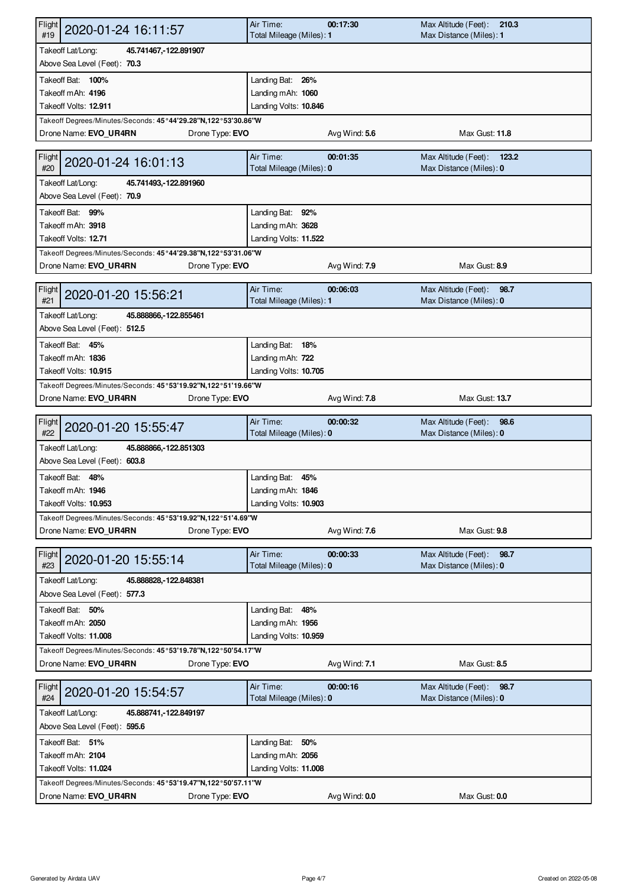| Flight<br>2020-01-24 16:11:57<br>#19                                                                      | Air Time:<br>Total Mileage (Miles): 1 | 00:17:30      | Max Altitude (Feet):<br>210.3<br>Max Distance (Miles): 1 |  |  |
|-----------------------------------------------------------------------------------------------------------|---------------------------------------|---------------|----------------------------------------------------------|--|--|
| Takeoff Lat/Long:<br>45.741467, - 122.891907                                                              |                                       |               |                                                          |  |  |
| Above Sea Level (Feet): 70.3                                                                              |                                       |               |                                                          |  |  |
| Takeoff Bat: 100%                                                                                         | Landing Bat: 26%                      |               |                                                          |  |  |
| Takeoff mAh: 4196                                                                                         | Landing mAh: 1060                     |               |                                                          |  |  |
| Takeoff Volts: 12.911                                                                                     | Landing Volts: 10.846                 |               |                                                          |  |  |
| Takeoff Degrees/Minutes/Seconds: 45°44'29.28"N,122°53'30.86"W                                             |                                       |               |                                                          |  |  |
| Drone Name: EVO_UR4RN<br>Drone Type: EVO                                                                  |                                       | Avg Wind: 5.6 | Max Gust: 11.8                                           |  |  |
| Flight<br>2020-01-24 16:01:13<br>#20                                                                      | Air Time:<br>Total Mileage (Miles): 0 | 00:01:35      | Max Altitude (Feet):<br>123.2<br>Max Distance (Miles): 0 |  |  |
| Takeoff Lat/Long:<br>45.741493, -122.891960<br>Above Sea Level (Feet): 70.9                               |                                       |               |                                                          |  |  |
|                                                                                                           |                                       |               |                                                          |  |  |
| Takeoff Bat: 99%                                                                                          | Landing Bat: 92%                      |               |                                                          |  |  |
| Takeoff mAh: 3918                                                                                         | Landing mAh: 3628                     |               |                                                          |  |  |
| Takeoff Volts: 12.71                                                                                      | Landing Volts: 11.522                 |               |                                                          |  |  |
| Takeoff Degrees/Minutes/Seconds: 45°44'29.38"N,122°53'31.06"W                                             |                                       |               |                                                          |  |  |
| Drone Name: EVO UR4RN<br>Drone Type: EVO                                                                  |                                       | Avg Wind: 7.9 | Max Gust: 8.9                                            |  |  |
| Flight<br>2020-01-20 15:56:21<br>#21                                                                      | Air Time:<br>Total Mileage (Miles): 1 | 00:06:03      | Max Altitude (Feet):<br>98.7<br>Max Distance (Miles): 0  |  |  |
| Takeoff Lat/Long:<br>45.888866, 122.855461                                                                |                                       |               |                                                          |  |  |
| Above Sea Level (Feet): 512.5                                                                             |                                       |               |                                                          |  |  |
| Takeoff Bat: 45%                                                                                          | Landing Bat: 18%                      |               |                                                          |  |  |
| Takeoff mAh: 1836                                                                                         | Landing mAh: 722                      |               |                                                          |  |  |
| Takeoff Volts: 10.915                                                                                     | Landing Volts: 10.705                 |               |                                                          |  |  |
| Takeoff Degrees/Minutes/Seconds: 45°53'19.92"N,122°51'19.66"W                                             |                                       |               |                                                          |  |  |
| Drone Name: EVO_UR4RN<br>Drone Type: EVO                                                                  |                                       | Avg Wind: 7.8 | Max Gust: 13.7                                           |  |  |
|                                                                                                           |                                       |               |                                                          |  |  |
| Flight<br>2020-01-20 15:55:47<br>#22                                                                      | Air Time:<br>Total Mileage (Miles): 0 | 00:00:32      | Max Altitude (Feet):<br>98.6<br>Max Distance (Miles): 0  |  |  |
| Takeoff Lat/Long:<br>45.888866, 122.851303<br>Above Sea Level (Feet): 603.8                               |                                       |               |                                                          |  |  |
|                                                                                                           |                                       |               |                                                          |  |  |
| Takeoff Bat: 48%                                                                                          | Landing Bat: 45%                      |               |                                                          |  |  |
| Takeoff mAh: 1946                                                                                         | Landing mAh: 1846                     |               |                                                          |  |  |
| Takeoff Volts: 10.953                                                                                     | Landing Volts: 10.903                 |               |                                                          |  |  |
| Takeoff Degrees/Minutes/Seconds: 45°53'19.92"N,122°51'4.69"W                                              |                                       |               |                                                          |  |  |
| Drone Name: EVO_UR4RN<br>Drone Type: EVO                                                                  |                                       | Avg Wind: 7.6 | Max Gust: 9.8                                            |  |  |
| Flight<br>2020-01-20 15:55:14<br>#23                                                                      | Air Time:<br>Total Mileage (Miles): 0 | 00:00:33      | Max Altitude (Feet):<br>98.7<br>Max Distance (Miles): 0  |  |  |
| Takeoff Lat/Long:<br>45.888828, 122.848381                                                                |                                       |               |                                                          |  |  |
| Above Sea Level (Feet): 577.3                                                                             |                                       |               |                                                          |  |  |
| Takeoff Bat: 50%                                                                                          | Landing Bat: 48%                      |               |                                                          |  |  |
| Takeoff mAh: 2050                                                                                         | Landing mAh: 1956                     |               |                                                          |  |  |
| Takeoff Volts: 11.008                                                                                     | Landing Volts: 10.959                 |               |                                                          |  |  |
| Takeoff Degrees/Minutes/Seconds: 45°53'19.78"N,122°50'54.17"W                                             |                                       |               |                                                          |  |  |
| Drone Name: EVO UR4RN<br>Drone Type: EVO                                                                  |                                       | Avg Wind: 7.1 | Max Gust: 8.5                                            |  |  |
| Flight<br>2020-01-20 15:54:57<br>#24                                                                      | Air Time:<br>Total Mileage (Miles): 0 | 00:00:16      | Max Altitude (Feet):<br>98.7<br>Max Distance (Miles): 0  |  |  |
| Takeoff Lat/Long:<br>45.888741, 122.849197<br>Above Sea Level (Feet): 595.6                               |                                       |               |                                                          |  |  |
|                                                                                                           |                                       |               |                                                          |  |  |
| Takeoff Bat: 51%                                                                                          | Landing Bat: 50%                      |               |                                                          |  |  |
| Takeoff mAh: 2104                                                                                         | Landing mAh: 2056                     |               |                                                          |  |  |
| Takeoff Volts: 11.024                                                                                     | Landing Volts: 11.008                 |               |                                                          |  |  |
| Takeoff Degrees/Minutes/Seconds: 45°53'19.47"N,122°50'57.11"W<br>Drone Type: EVO<br>Drone Name: EVO_UR4RN |                                       | Avg Wind: 0.0 | Max Gust: 0.0                                            |  |  |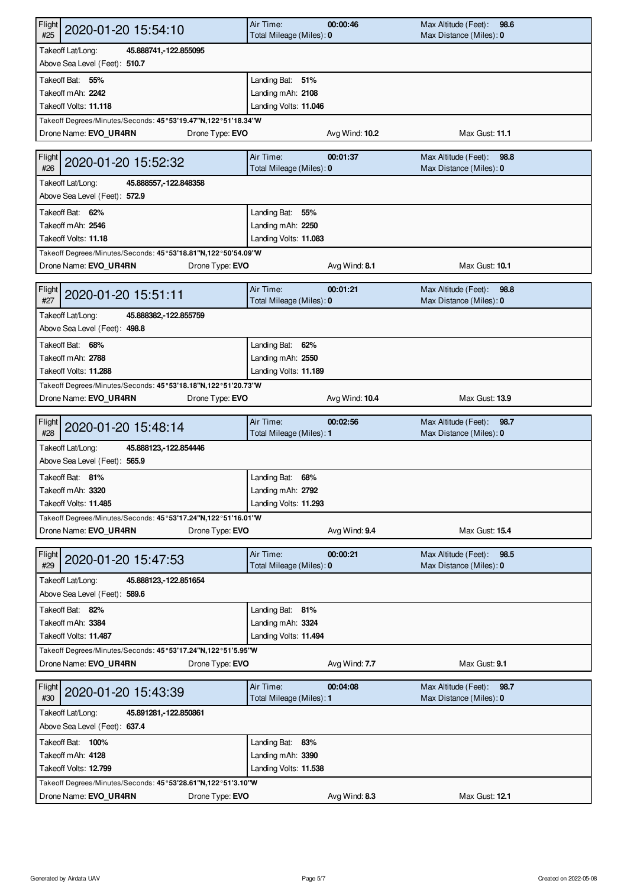| Flight<br>2020-01-20 15:54:10<br>#25                          | Air Time:<br>Total Mileage (Miles): 0      | 00:00:46       | Max Altitude (Feet):<br>98.6<br>Max Distance (Miles): 0 |  |  |
|---------------------------------------------------------------|--------------------------------------------|----------------|---------------------------------------------------------|--|--|
| Takeoff Lat/Long:<br>45.888741, -122.855095                   |                                            |                |                                                         |  |  |
| Above Sea Level (Feet): 510.7                                 |                                            |                |                                                         |  |  |
| Takeoff Bat: 55%                                              | Landing Bat: 51%                           |                |                                                         |  |  |
| Takeoff mAh: 2242                                             | Landing mAh: 2108                          |                |                                                         |  |  |
| Takeoff Volts: 11.118                                         | Landing Volts: 11.046                      |                |                                                         |  |  |
| Takeoff Degrees/Minutes/Seconds: 45°53'19.47"N,122°51'18.34"W |                                            |                |                                                         |  |  |
| Drone Name: EVO_UR4RN<br>Drone Type: EVO                      |                                            | Avg Wind: 10.2 | Max Gust: 11.1                                          |  |  |
|                                                               |                                            |                |                                                         |  |  |
| Flight<br>2020-01-20 15:52:32<br>#26                          | Air Time:<br>Total Mileage (Miles): 0      | 00:01:37       | Max Altitude (Feet):<br>98.8<br>Max Distance (Miles): 0 |  |  |
| Takeoff Lat/Long:<br>45.888557, 122.848358                    |                                            |                |                                                         |  |  |
| Above Sea Level (Feet): 572.9                                 |                                            |                |                                                         |  |  |
|                                                               |                                            |                |                                                         |  |  |
| Takeoff Bat: 62%                                              | Landing Bat: 55%                           |                |                                                         |  |  |
| Takeoff mAh: 2546<br>Takeoff Volts: 11.18                     | Landing mAh: 2250                          |                |                                                         |  |  |
|                                                               | Landing Volts: 11.083                      |                |                                                         |  |  |
| Takeoff Degrees/Minutes/Seconds: 45°53'18.81"N,122°50'54.09"W |                                            |                | Max Gust: 10.1                                          |  |  |
| Drone Name: EVO UR4RN<br>Drone Type: EVO                      |                                            | Avg Wind: 8.1  |                                                         |  |  |
| Flight                                                        | Air Time:                                  | 00:01:21       | Max Altitude (Feet):<br>98.8                            |  |  |
| 2020-01-20 15:51:11<br>#27                                    | Total Mileage (Miles): 0                   |                | Max Distance (Miles): 0                                 |  |  |
| Takeoff Lat/Long:<br>45.888382, - 122.855759                  |                                            |                |                                                         |  |  |
| Above Sea Level (Feet): 498.8                                 |                                            |                |                                                         |  |  |
| Takeoff Bat: 68%                                              | Landing Bat: 62%                           |                |                                                         |  |  |
| Takeoff mAh: 2788                                             | Landing mAh: 2550                          |                |                                                         |  |  |
| Takeoff Volts: 11.288                                         | Landing Volts: 11.189                      |                |                                                         |  |  |
| Takeoff Degrees/Minutes/Seconds: 45°53'18.18"N,122°51'20.73"W |                                            |                |                                                         |  |  |
| Drone Name: EVO_UR4RN<br>Drone Type: EVO                      |                                            | Avg Wind: 10.4 | Max Gust: 13.9                                          |  |  |
|                                                               |                                            |                |                                                         |  |  |
|                                                               |                                            |                |                                                         |  |  |
| Flight<br>2020-01-20 15:48:14<br>#28                          | Air Time:<br>Total Mileage (Miles): 1      | 00:02:56       | Max Altitude (Feet):<br>98.7<br>Max Distance (Miles): 0 |  |  |
| Takeoff Lat/Long:<br>45.888123, 122.854446                    |                                            |                |                                                         |  |  |
| Above Sea Level (Feet): 565.9                                 |                                            |                |                                                         |  |  |
| Takeoff Bat: 81%                                              | Landing Bat: 68%                           |                |                                                         |  |  |
| Takeoff mAh: 3320                                             | Landing mAh: 2792                          |                |                                                         |  |  |
| Takeoff Volts: 11.485                                         | Landing Volts: 11.293                      |                |                                                         |  |  |
| Takeoff Degrees/Minutes/Seconds: 45°53'17.24"N,122°51'16.01"W |                                            |                |                                                         |  |  |
| Drone Name: EVO_UR4RN<br>Drone Type: EVO                      |                                            | Avg Wind: 9.4  | Max Gust: 15.4                                          |  |  |
|                                                               |                                            |                |                                                         |  |  |
| Flight<br>2020-01-20 15:47:53                                 | Air Time:                                  | 00:00:21       | Max Altitude (Feet):<br>98.5                            |  |  |
| #29                                                           | Total Mileage (Miles): 0                   |                | Max Distance (Miles): 0                                 |  |  |
| Takeoff Lat/Long:<br>45.888123, 122.851654                    |                                            |                |                                                         |  |  |
| Above Sea Level (Feet): 589.6                                 |                                            |                |                                                         |  |  |
| Takeoff Bat: 82%                                              | Landing Bat: 81%                           |                |                                                         |  |  |
| Takeoff mAh: 3384                                             | Landing mAh: 3324                          |                |                                                         |  |  |
| Takeoff Volts: 11.487                                         | Landing Volts: 11.494                      |                |                                                         |  |  |
| Takeoff Degrees/Minutes/Seconds: 45°53'17.24"N,122°51'5.95"W  |                                            |                |                                                         |  |  |
| Drone Name: EVO UR4RN<br>Drone Type: EVO                      |                                            | Avg Wind: 7.7  | Max Gust: 9.1                                           |  |  |
| Flight<br>2020-01-20 15:43:39<br>#30                          | Air Time:<br>Total Mileage (Miles): 1      | 00:04:08       | Max Altitude (Feet):<br>98.7<br>Max Distance (Miles): 0 |  |  |
| Takeoff Lat/Long:<br>45.891281, 122.850861                    |                                            |                |                                                         |  |  |
| Above Sea Level (Feet): 637.4                                 |                                            |                |                                                         |  |  |
| Takeoff Bat: 100%                                             |                                            |                |                                                         |  |  |
| Takeoff mAh: 4128                                             | Landing Bat: 83%                           |                |                                                         |  |  |
| Takeoff Volts: 12.799                                         | Landing mAh: 3390<br>Landing Volts: 11.538 |                |                                                         |  |  |
| Takeoff Degrees/Minutes/Seconds: 45°53'28.61"N,122°51'3.10"W  |                                            |                |                                                         |  |  |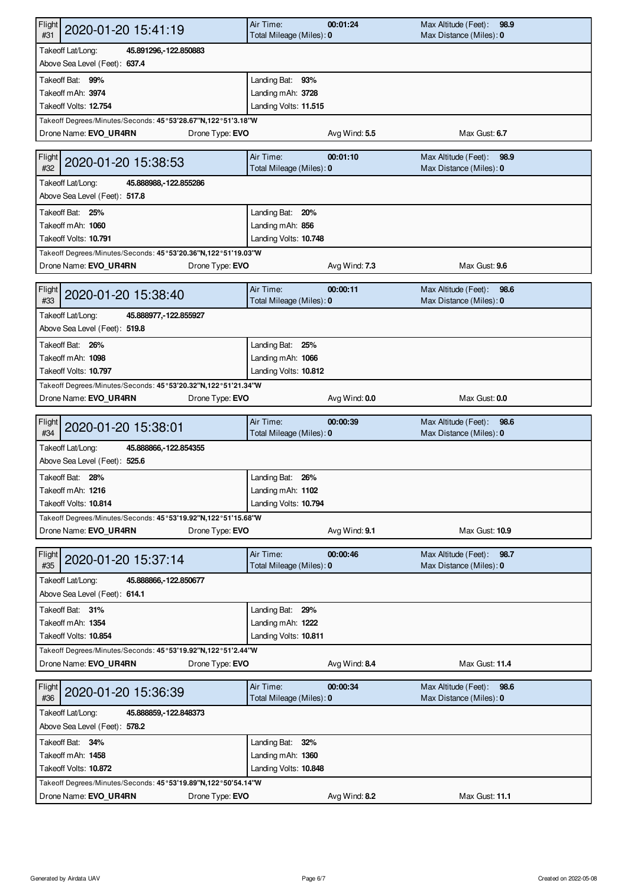| Flight<br>2020-01-20 15:41:19<br>#31                                                                      | Air Time:<br>Total Mileage (Miles): 0 | 00:01:24      | Max Altitude (Feet):<br>98.9<br>Max Distance (Miles): 0 |  |  |
|-----------------------------------------------------------------------------------------------------------|---------------------------------------|---------------|---------------------------------------------------------|--|--|
| Takeoff Lat/Long:<br>45.891296, 122.850883                                                                |                                       |               |                                                         |  |  |
| Above Sea Level (Feet): 637.4                                                                             |                                       |               |                                                         |  |  |
| Takeoff Bat: 99%                                                                                          | Landing Bat: 93%                      |               |                                                         |  |  |
| Takeoff mAh: 3974                                                                                         | Landing mAh: 3728                     |               |                                                         |  |  |
| Takeoff Volts: 12.754                                                                                     | Landing Volts: 11.515                 |               |                                                         |  |  |
| Takeoff Degrees/Minutes/Seconds: 45°53'28.67"N,122°51'3.18"W                                              |                                       |               |                                                         |  |  |
| Drone Name: EVO_UR4RN<br>Drone Type: EVO                                                                  |                                       | Avg Wind: 5.5 | Max Gust: 6.7                                           |  |  |
| Flight<br>2020-01-20 15:38:53<br>#32                                                                      | Air Time:<br>Total Mileage (Miles): 0 | 00:01:10      | Max Altitude (Feet):<br>98.9<br>Max Distance (Miles): 0 |  |  |
| Takeoff Lat/Long:<br>45.888988, 122.855286<br>Above Sea Level (Feet): 517.8                               |                                       |               |                                                         |  |  |
| Takeoff Bat: 25%                                                                                          | Landing Bat: 20%                      |               |                                                         |  |  |
| Takeoff mAh: 1060                                                                                         | Landing mAh: 856                      |               |                                                         |  |  |
| Takeoff Volts: 10.791                                                                                     | Landing Volts: 10.748                 |               |                                                         |  |  |
| Takeoff Degrees/Minutes/Seconds: 45°53'20.36"N,122°51'19.03"W                                             |                                       |               |                                                         |  |  |
| Drone Name: EVO UR4RN<br>Drone Type: EVO                                                                  |                                       | Avg Wind: 7.3 | Max Gust: 9.6                                           |  |  |
|                                                                                                           |                                       |               |                                                         |  |  |
| Flight<br>2020-01-20 15:38:40<br>#33                                                                      | Air Time:<br>Total Mileage (Miles): 0 | 00:00:11      | Max Altitude (Feet):<br>98.6<br>Max Distance (Miles): 0 |  |  |
| Takeoff Lat/Long:<br>45.888977, -122.855927                                                               |                                       |               |                                                         |  |  |
| Above Sea Level (Feet): 519.8                                                                             |                                       |               |                                                         |  |  |
| Takeoff Bat: 26%                                                                                          | Landing Bat: 25%                      |               |                                                         |  |  |
| Takeoff mAh: 1098                                                                                         | Landing mAh: 1066                     |               |                                                         |  |  |
| Takeoff Volts: 10.797                                                                                     | Landing Volts: 10.812                 |               |                                                         |  |  |
| Takeoff Degrees/Minutes/Seconds: 45°53'20.32"N,122°51'21.34"W                                             |                                       |               |                                                         |  |  |
| Drone Name: EVO_UR4RN<br>Drone Type: EVO                                                                  |                                       | Avg Wind: 0.0 | Max Gust: 0.0                                           |  |  |
|                                                                                                           |                                       |               |                                                         |  |  |
|                                                                                                           |                                       |               |                                                         |  |  |
| Flight<br>2020-01-20 15:38:01<br>#34                                                                      | Air Time:<br>Total Mileage (Miles): 0 | 00:00:39      | Max Altitude (Feet):<br>98.6<br>Max Distance (Miles): 0 |  |  |
| Takeoff Lat/Long:<br>45.888866, 122.854355<br>Above Sea Level (Feet): 525.6                               |                                       |               |                                                         |  |  |
|                                                                                                           |                                       |               |                                                         |  |  |
| Takeoff Bat: 28%                                                                                          | Landing Bat: 26%                      |               |                                                         |  |  |
| Takeoff mAh: 1216                                                                                         | Landing mAh: 1102                     |               |                                                         |  |  |
| Takeoff Volts: 10.814                                                                                     | Landing Volts: 10.794                 |               |                                                         |  |  |
| Takeoff Degrees/Minutes/Seconds: 45°53'19.92"N,122°51'15.68"W                                             |                                       |               |                                                         |  |  |
| Drone Name: EVO_UR4RN<br>Drone Type: EVO                                                                  |                                       | Avg Wind: 9.1 | Max Gust: 10.9                                          |  |  |
| Flight<br>2020-01-20 15:37:14<br>#35                                                                      | Air Time:<br>Total Mileage (Miles): 0 | 00:00:46      | Max Altitude (Feet):<br>98.7<br>Max Distance (Miles): 0 |  |  |
| Takeoff Lat/Long:<br>45.888866, 122.850677                                                                |                                       |               |                                                         |  |  |
| Above Sea Level (Feet): 614.1                                                                             |                                       |               |                                                         |  |  |
| Takeoff Bat: 31%                                                                                          | Landing Bat: 29%                      |               |                                                         |  |  |
| Takeoff mAh: 1354                                                                                         | Landing mAh: 1222                     |               |                                                         |  |  |
| Takeoff Volts: 10.854                                                                                     | Landing Volts: 10.811                 |               |                                                         |  |  |
| Takeoff Degrees/Minutes/Seconds: 45°53'19.92"N,122°51'2.44"W                                              |                                       |               |                                                         |  |  |
| Drone Name: EVO UR4RN<br>Drone Type: EVO                                                                  |                                       | Avg Wind: 8.4 | Max Gust: 11.4                                          |  |  |
| Flight<br>2020-01-20 15:36:39<br>#36                                                                      | Air Time:<br>Total Mileage (Miles): 0 | 00:00:34      | Max Altitude (Feet):<br>98.6<br>Max Distance (Miles): 0 |  |  |
| Takeoff Lat/Long:<br>45.888859, 122.848373<br>Above Sea Level (Feet): 578.2                               |                                       |               |                                                         |  |  |
|                                                                                                           |                                       |               |                                                         |  |  |
| Takeoff Bat: 34%                                                                                          | Landing Bat: 32%                      |               |                                                         |  |  |
| Takeoff mAh: 1458                                                                                         | Landing mAh: 1360                     |               |                                                         |  |  |
| Takeoff Volts: 10.872                                                                                     | Landing Volts: 10.848                 |               |                                                         |  |  |
| Takeoff Degrees/Minutes/Seconds: 45°53'19.89"N,122°50'54.14"W<br>Drone Type: EVO<br>Drone Name: EVO_UR4RN |                                       | Avg Wind: 8.2 | Max Gust: 11.1                                          |  |  |